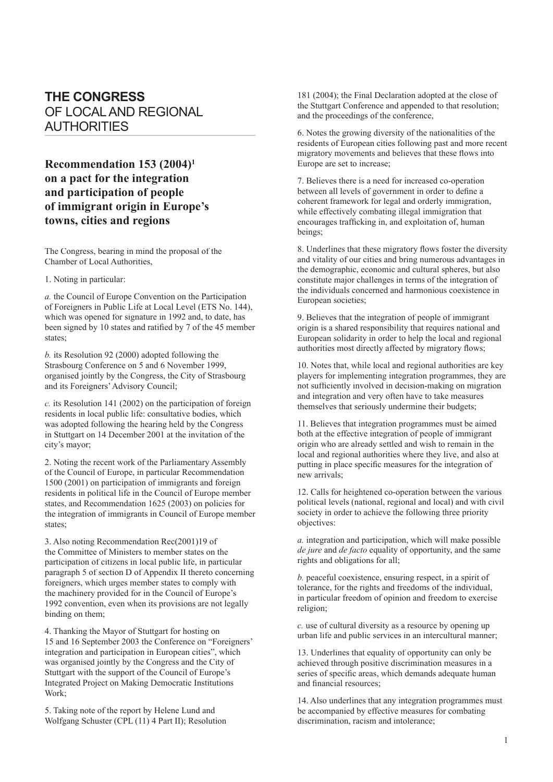## **THE CONGRESS** OF LOCAL AND REGIONAL AUTHORITIES

**Recommendation 153 (2004)1 on a pact for the integration and participation of people of immigrant origin in Europe's towns, cities and regions**

The Congress, bearing in mind the proposal of the Chamber of Local Authorities,

1. Noting in particular:

*a.* the Council of Europe Convention on the Participation of Foreigners in Public Life at Local Level (ETS No. 144), which was opened for signature in 1992 and, to date, has been signed by 10 states and ratified by 7 of the 45 member states;

*b.* its Resolution 92 (2000) adopted following the Strasbourg Conference on 5 and 6 November 1999, organised jointly by the Congress, the City of Strasbourg and its Foreigners' Advisory Council;

*c.* its Resolution 141 (2002) on the participation of foreign residents in local public life: consultative bodies, which was adopted following the hearing held by the Congress in Stuttgart on 14 December 2001 at the invitation of the city's mayor;

2. Noting the recent work of the Parliamentary Assembly of the Council of Europe, in particular Recommendation 1500 (2001) on participation of immigrants and foreign residents in political life in the Council of Europe member states, and Recommendation 1625 (2003) on policies for the integration of immigrants in Council of Europe member states;

3. Also noting Recommendation Rec(2001)19 of the Committee of Ministers to member states on the participation of citizens in local public life, in particular paragraph 5 of section D of Appendix II thereto concerning foreigners, which urges member states to comply with the machinery provided for in the Council of Europe's 1992 convention, even when its provisions are not legally binding on them;

4. Thanking the Mayor of Stuttgart for hosting on 15 and 16 September 2003 the Conference on "Foreigners' integration and participation in European cities", which was organised jointly by the Congress and the City of Stuttgart with the support of the Council of Europe's Integrated Project on Making Democratic Institutions Work;

5. Taking note of the report by Helene Lund and Wolfgang Schuster (CPL (11) 4 Part II); Resolution 181 (2004); the Final Declaration adopted at the close of the Stuttgart Conference and appended to that resolution; and the proceedings of the conference,

6. Notes the growing diversity of the nationalities of the residents of European cities following past and more recent migratory movements and believes that these flows into Europe are set to increase;

7. Believes there is a need for increased co-operation between all levels of government in order to define a coherent framework for legal and orderly immigration, while effectively combating illegal immigration that encourages trafficking in, and exploitation of, human beings;

8. Underlines that these migratory flows foster the diversity and vitality of our cities and bring numerous advantages in the demographic, economic and cultural spheres, but also constitute major challenges in terms of the integration of the individuals concerned and harmonious coexistence in European societies;

9. Believes that the integration of people of immigrant origin is a shared responsibility that requires national and European solidarity in order to help the local and regional authorities most directly affected by migratory flows;

10. Notes that, while local and regional authorities are key players for implementing integration programmes, they are not sufficiently involved in decision-making on migration and integration and very often have to take measures themselves that seriously undermine their budgets;

11. Believes that integration programmes must be aimed both at the effective integration of people of immigrant origin who are already settled and wish to remain in the local and regional authorities where they live, and also at putting in place specific measures for the integration of new arrivals;

12. Calls for heightened co-operation between the various political levels (national, regional and local) and with civil society in order to achieve the following three priority objectives:

*a.* integration and participation, which will make possible *de jure* and *de facto* equality of opportunity, and the same rights and obligations for all;

*b.* peaceful coexistence, ensuring respect, in a spirit of tolerance, for the rights and freedoms of the individual, in particular freedom of opinion and freedom to exercise religion;

*c.* use of cultural diversity as a resource by opening up urban life and public services in an intercultural manner;

13. Underlines that equality of opportunity can only be achieved through positive discrimination measures in a series of specific areas, which demands adequate human and financial resources:

14. Also underlines that any integration programmes must be accompanied by effective measures for combating discrimination, racism and intolerance;